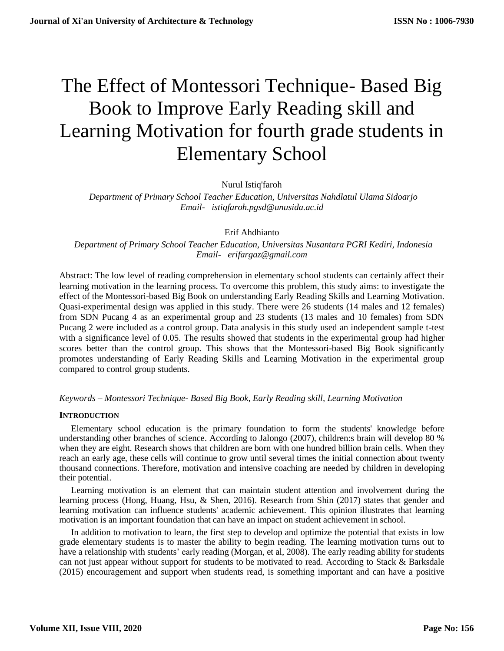# The Effect of Montessori Technique- Based Big Book to Improve Early Reading skill and Learning Motivation for fourth grade students in Elementary School

Nurul Istiq'faroh

 *Department of Primary School Teacher Education, Universitas Nahdlatul Ulama Sidoarjo [Email- istiqfaroh.pgsd@unusida.ac.id](mailto:Email-%20%20%20anuradhamit@gmail.com)*

Erif Ahdhianto

 *Department of Primary School Teacher Education, Universitas Nusantara PGRI Kediri, Indonesia [Email- erifargaz@gmail.com](mailto:Email-%20%20%20anuradhamit@gmail.com)*

Abstract: The low level of reading comprehension in elementary school students can certainly affect their learning motivation in the learning process. To overcome this problem, this study aims: to investigate the effect of the Montessori-based Big Book on understanding Early Reading Skills and Learning Motivation. Quasi-experimental design was applied in this study. There were 26 students (14 males and 12 females) from SDN Pucang 4 as an experimental group and 23 students (13 males and 10 females) from SDN Pucang 2 were included as a control group. Data analysis in this study used an independent sample t-test with a significance level of 0.05. The results showed that students in the experimental group had higher scores better than the control group. This shows that the Montessori-based Big Book significantly promotes understanding of Early Reading Skills and Learning Motivation in the experimental group compared to control group students.

*Keywords – Montessori Technique- Based Big Book, Early Reading skill, Learning Motivation*

# **INTRODUCTION**

Elementary school education is the primary foundation to form the students' knowledge before understanding other branches of science. According to Jalongo (2007), children:s brain will develop 80 % when they are eight. Research shows that children are born with one hundred billion brain cells. When they reach an early age, these cells will continue to grow until several times the initial connection about twenty thousand connections. Therefore, motivation and intensive coaching are needed by children in developing their potential.

Learning motivation is an element that can maintain student attention and involvement during the learning process (Hong, Huang, Hsu, & Shen, 2016). Research from Shin (2017) states that gender and learning motivation can influence students' academic achievement. This opinion illustrates that learning motivation is an important foundation that can have an impact on student achievement in school.

In addition to motivation to learn, the first step to develop and optimize the potential that exists in low grade elementary students is to master the ability to begin reading. The learning motivation turns out to have a relationship with students' early reading (Morgan, et al, 2008). The early reading ability for students can not just appear without support for students to be motivated to read. According to Stack & Barksdale (2015) encouragement and support when students read, is something important and can have a positive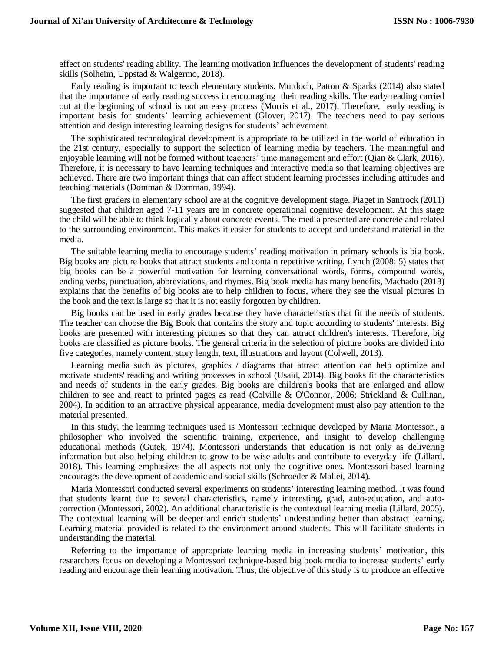effect on students' reading ability. The learning motivation influences the development of students' reading skills (Solheim, Uppstad & Walgermo, 2018).

Early reading is important to teach elementary students. Murdoch, Patton & Sparks (2014) also stated that the importance of early reading success in encouraging their reading skills. The early reading carried out at the beginning of school is not an easy process (Morris et al., 2017). Therefore, early reading is important basis for students' learning achievement (Glover, 2017). The teachers need to pay serious attention and design interesting learning designs for students' achievement.

The sophisticated technological development is appropriate to be utilized in the world of education in the 21st century, especially to support the selection of learning media by teachers. The meaningful and enjoyable learning will not be formed without teachers' time management and effort (Qian & Clark, 2016). Therefore, it is necessary to have learning techniques and interactive media so that learning objectives are achieved. There are two important things that can affect student learning processes including attitudes and teaching materials (Domman & Domman, 1994).

The first graders in elementary school are at the cognitive development stage. Piaget in Santrock (2011) suggested that children aged 7-11 years are in concrete operational cognitive development. At this stage the child will be able to think logically about concrete events. The media presented are concrete and related to the surrounding environment. This makes it easier for students to accept and understand material in the media.

The suitable learning media to encourage students' reading motivation in primary schools is big book. Big books are picture books that attract students and contain repetitive writing. Lynch (2008: 5) states that big books can be a powerful motivation for learning conversational words, forms, compound words, ending verbs, punctuation, abbreviations, and rhymes. Big book media has many benefits, Machado (2013) explains that the benefits of big books are to help children to focus, where they see the visual pictures in the book and the text is large so that it is not easily forgotten by children.

Big books can be used in early grades because they have characteristics that fit the needs of students. The teacher can choose the Big Book that contains the story and topic according to students' interests. Big books are presented with interesting pictures so that they can attract children's interests. Therefore, big books are classified as picture books. The general criteria in the selection of picture books are divided into five categories, namely content, story length, text, illustrations and layout (Colwell, 2013).

Learning media such as pictures, graphics / diagrams that attract attention can help optimize and motivate students' reading and writing processes in school (Usaid, 2014). Big books fit the characteristics and needs of students in the early grades. Big books are children's books that are enlarged and allow children to see and react to printed pages as read (Colville & O'Connor, 2006; Strickland & Cullinan, 2004). In addition to an attractive physical appearance, media development must also pay attention to the material presented.

In this study, the learning techniques used is Montessori technique developed by Maria Montessori, a philosopher who involved the scientific training, experience, and insight to develop challenging educational methods (Gutek, 1974). Montessori understands that education is not only as delivering information but also helping children to grow to be wise adults and contribute to everyday life (Lillard, 2018). This learning emphasizes the all aspects not only the cognitive ones. Montessori-based learning encourages the development of academic and social skills (Schroeder & Mallet, 2014).

Maria Montessori conducted several experiments on students' interesting learning method. It was found that students learnt due to several characteristics, namely interesting, grad, auto-education, and autocorrection (Montessori, 2002). An additional characteristic is the contextual learning media (Lillard, 2005). The contextual learning will be deeper and enrich students' understanding better than abstract learning. Learning material provided is related to the environment around students. This will facilitate students in understanding the material.

Referring to the importance of appropriate learning media in increasing students' motivation, this researchers focus on developing a Montessori technique-based big book media to increase students' early reading and encourage their learning motivation. Thus, the objective of this study is to produce an effective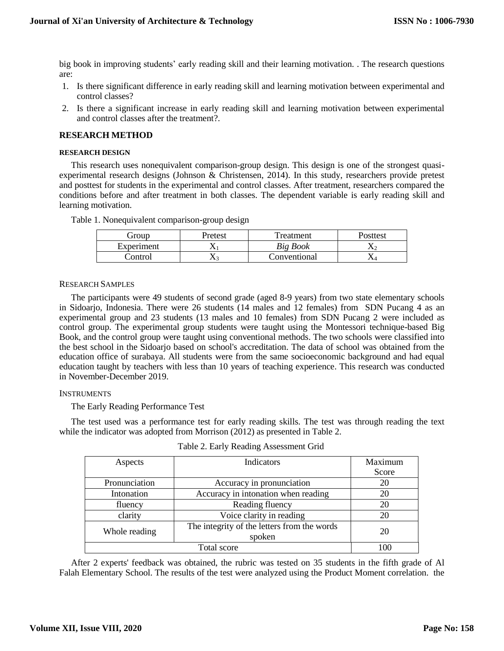big book in improving students' early reading skill and their learning motivation. . The research questions are:

- 1. Is there significant difference in early reading skill and learning motivation between experimental and control classes?
- 2. Is there a significant increase in early reading skill and learning motivation between experimental and control classes after the treatment?.

# **RESEARCH METHOD**

### **RESEARCH DESIGN**

This research uses nonequivalent comparison-group design. This design is one of the strongest quasiexperimental research designs (Johnson & Christensen, 2014). In this study, researchers provide pretest and posttest for students in the experimental and control classes. After treatment, researchers compared the conditions before and after treatment in both classes. The dependent variable is early reading skill and learning motivation.

|  |  |  | Table 1. Nonequivalent comparison-group design |
|--|--|--|------------------------------------------------|
|  |  |  |                                                |
|  |  |  |                                                |

| Group      | Pretest | Treatment    | Posttest |
|------------|---------|--------------|----------|
| Experiment |         | Big Book     |          |
| Control    | 43.     | Conventional |          |

### RESEARCH SAMPLES

The participants were 49 students of second grade (aged 8-9 years) from two state elementary schools in Sidoarjo, Indonesia. There were 26 students (14 males and 12 females) from SDN Pucang 4 as an experimental group and 23 students (13 males and 10 females) from SDN Pucang 2 were included as control group. The experimental group students were taught using the Montessori technique-based Big Book, and the control group were taught using conventional methods. The two schools were classified into the best school in the Sidoarjo based on school's accreditation. The data of school was obtained from the education office of surabaya. All students were from the same socioeconomic background and had equal education taught by teachers with less than 10 years of teaching experience. This research was conducted in November-December 2019.

# INSTRUMENTS

The Early Reading Performance Test

The test used was a performance test for early reading skills. The test was through reading the text while the indicator was adopted from Morrison (2012) as presented in Table 2.

| Aspects       | <b>Indicators</b>                                     | Maximum<br>Score |
|---------------|-------------------------------------------------------|------------------|
| Pronunciation | Accuracy in pronunciation                             | 20               |
| Intonation    | Accuracy in intonation when reading                   | 20               |
| fluency       | Reading fluency                                       | 20               |
| clarity       | Voice clarity in reading                              | 20               |
| Whole reading | The integrity of the letters from the words<br>spoken | 20               |
|               | Total score                                           |                  |

Table 2. Early Reading Assessment Grid

After 2 experts' feedback was obtained, the rubric was tested on 35 students in the fifth grade of Al Falah Elementary School. The results of the test were analyzed using the Product Moment correlation. the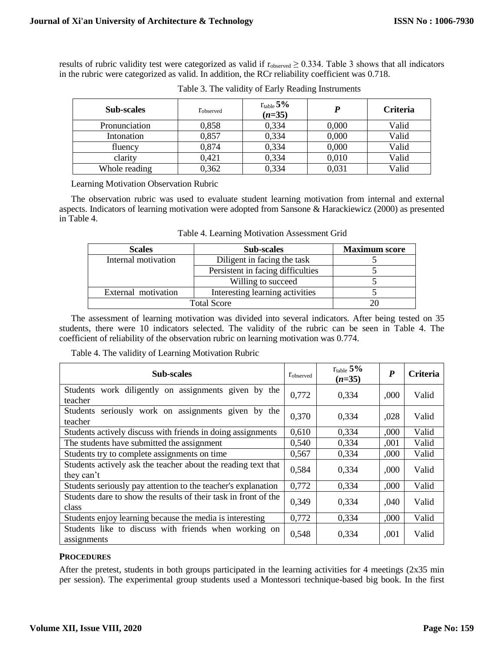results of rubric validity test were categorized as valid if  $r_{observed} \ge 0.334$ . Table 3 shows that all indicators in the rubric were categorized as valid. In addition, the RCr reliability coefficient was 0.718.

| <b>Sub-scales</b> | Tobserved | $r_{table}$ 5%<br>$(n=35)$ |       | <b>Criteria</b> |
|-------------------|-----------|----------------------------|-------|-----------------|
| Pronunciation     | 0,858     | 0,334                      | 0,000 | Valid           |
| Intonation        | 0,857     | 0,334                      | 0,000 | Valid           |
| fluency           | 0,874     | 0,334                      | 0,000 | Valid           |
| clarity           | 0,421     | 0,334                      | 0,010 | Valid           |
| Whole reading     | 0,362     | 0,334                      | 0,031 | Valid           |

Table 3. The validity of Early Reading Instruments

Learning Motivation Observation Rubric

The observation rubric was used to evaluate student learning motivation from internal and external aspects. Indicators of learning motivation were adopted from Sansone & Harackiewicz (2000) as presented in Table 4.

| <b>Scales</b>       | <b>Sub-scales</b>                 | <b>Maximum score</b> |  |  |
|---------------------|-----------------------------------|----------------------|--|--|
| Internal motivation | Diligent in facing the task       |                      |  |  |
|                     | Persistent in facing difficulties |                      |  |  |
|                     | Willing to succeed                |                      |  |  |
| External motivation | Interesting learning activities   |                      |  |  |
|                     | <b>Total Score</b>                |                      |  |  |

Table 4. Learning Motivation Assessment Grid

The assessment of learning motivation was divided into several indicators. After being tested on 35 students, there were 10 indicators selected. The validity of the rubric can be seen in Table 4. The coefficient of reliability of the observation rubric on learning motivation was 0.774.

Table 4. The validity of Learning Motivation Rubric

| <b>Sub-scales</b>                                                           | Tobserved | $r_{\rm table}$ 5%<br>$(n=35)$ | P    | <b>Criteria</b> |
|-----------------------------------------------------------------------------|-----------|--------------------------------|------|-----------------|
| Students work diligently on assignments given by the<br>teacher             | 0,772     | 0,334                          | ,000 | Valid           |
| Students seriously work on assignments given by the<br>teacher              | 0,370     | 0,334                          | ,028 | Valid           |
| Students actively discuss with friends in doing assignments                 | 0,610     | 0,334                          | ,000 | Valid           |
| The students have submitted the assignment                                  | 0,540     | 0,334                          | ,001 | Valid           |
| Students try to complete assignments on time                                | 0,567     | 0,334                          | ,000 | Valid           |
| Students actively ask the teacher about the reading text that<br>they can't | 0,584     | 0,334                          | ,000 | Valid           |
| Students seriously pay attention to the teacher's explanation               | 0,772     | 0,334                          | ,000 | Valid           |
| Students dare to show the results of their task in front of the<br>class    | 0,349     | 0,334                          | ,040 | Valid           |
| Students enjoy learning because the media is interesting                    | 0,772     | 0,334                          | ,000 | Valid           |
| Students like to discuss with friends when working on<br>assignments        | 0,548     | 0,334                          | ,001 | Valid           |

# **PROCEDURES**

After the pretest, students in both groups participated in the learning activities for 4 meetings (2x35 min per session). The experimental group students used a Montessori technique-based big book. In the first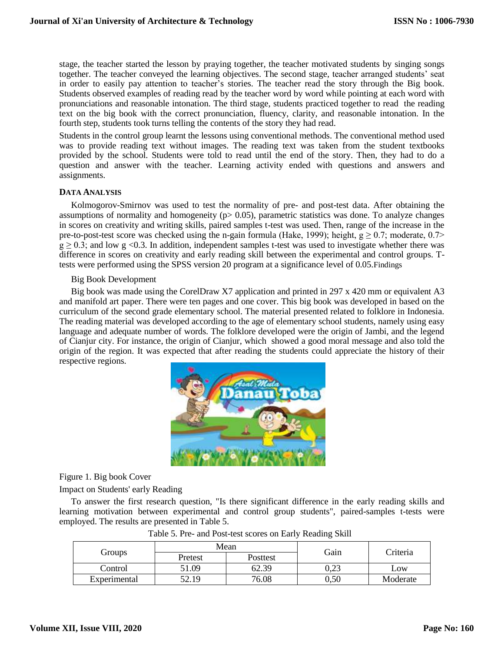stage, the teacher started the lesson by praying together, the teacher motivated students by singing songs together. The teacher conveyed the learning objectives. The second stage, teacher arranged students' seat in order to easily pay attention to teacher's stories. The teacher read the story through the Big book. Students observed examples of reading read by the teacher word by word while pointing at each word with pronunciations and reasonable intonation. The third stage, students practiced together to read the reading text on the big book with the correct pronunciation, fluency, clarity, and reasonable intonation. In the fourth step, students took turns telling the contents of the story they had read.

Students in the control group learnt the lessons using conventional methods. The conventional method used was to provide reading text without images. The reading text was taken from the student textbooks provided by the school. Students were told to read until the end of the story. Then, they had to do a question and answer with the teacher. Learning activity ended with questions and answers and assignments.

# **DATA ANALYSIS**

Kolmogorov-Smirnov was used to test the normality of pre- and post-test data. After obtaining the assumptions of normality and homogeneity ( $p$  is 0.05), parametric statistics was done. To analyze changes in scores on creativity and writing skills, paired samples t-test was used. Then, range of the increase in the pre-to-post-test score was checked using the n-gain formula (Hake, 1999); height,  $g \ge 0.7$ ; moderate, 0.7>  $g \ge 0.3$ ; and low g <0.3. In addition, independent samples t-test was used to investigate whether there was difference in scores on creativity and early reading skill between the experimental and control groups. Ttests were performed using the SPSS version 20 program at a significance level of 0.05.Findings

### Big Book Development

Big book was made using the CorelDraw X7 application and printed in 297 x 420 mm or equivalent A3 and manifold art paper. There were ten pages and one cover. This big book was developed in based on the curriculum of the second grade elementary school. The material presented related to folklore in Indonesia. The reading material was developed according to the age of elementary school students, namely using easy language and adequate number of words. The folklore developed were the origin of Jambi, and the legend of Cianjur city. For instance, the origin of Cianjur, which showed a good moral message and also told the origin of the region. It was expected that after reading the students could appreciate the history of their respective regions.



Figure 1. Big book Cover

Impact on Students' early Reading

To answer the first research question, "Is there significant difference in the early reading skills and learning motivation between experimental and control group students", paired-samples t-tests were employed. The results are presented in Table 5.

|              |         | Mean<br>Gain |           | Criteria |  |
|--------------|---------|--------------|-----------|----------|--|
| Groups       | Pretest | Posttest     |           |          |  |
| Control      | .09     | 62.39        | 0.23      | Low      |  |
| Experimental | 52.19   | 76.08        | $_{0,50}$ | Moderate |  |

Table 5. Pre- and Post-test scores on Early Reading Skill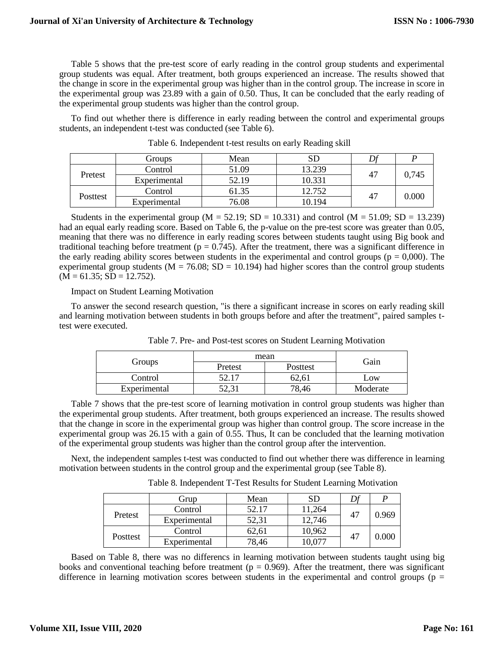Table 5 shows that the pre-test score of early reading in the control group students and experimental group students was equal. After treatment, both groups experienced an increase. The results showed that the change in score in the experimental group was higher than in the control group. The increase in score in the experimental group was 23.89 with a gain of 0.50. Thus, It can be concluded that the early reading of the experimental group students was higher than the control group.

To find out whether there is difference in early reading between the control and experimental groups students, an independent t-test was conducted (see Table 6).

|          | Groups       | Mean  | $_{\rm SD}$ |    |       |
|----------|--------------|-------|-------------|----|-------|
| Pretest  | Control      | 51.09 | 13.239      | 47 | 0,745 |
|          | Experimental | 52.19 | 10.331      |    |       |
|          | Control      | 61.35 | 12.752      | 47 | 0.000 |
| Posttest | Experimental | 76.08 | 10.194      |    |       |

Table 6. Independent t-test results on early Reading skill

Students in the experimental group ( $M = 52.19$ ; SD = 10.331) and control ( $M = 51.09$ ; SD = 13.239) had an equal early reading score. Based on Table 6, the p-value on the pre-test score was greater than 0.05, meaning that there was no difference in early reading scores between students taught using Big book and traditional teaching before treatment ( $p = 0.745$ ). After the treatment, there was a significant difference in the early reading ability scores between students in the experimental and control groups ( $p = 0,000$ ). The experimental group students ( $M = 76.08$ ;  $SD = 10.194$ ) had higher scores than the control group students  $(\overline{M} = 61.35; SD = 12.752).$ 

Impact on Student Learning Motivation

To answer the second research question, "is there a significant increase in scores on early reading skill and learning motivation between students in both groups before and after the treatment", paired samples ttest were executed.

|              | mean    | Gain     |          |
|--------------|---------|----------|----------|
| Groups       | Pretest | Posttest |          |
| Control      |         | 62,61    | $-0W$    |
| Experimental | ⊥ ٽن∠ر  | 78,46    | Moderate |

Table 7. Pre- and Post-test scores on Student Learning Motivation

Table 7 shows that the pre-test score of learning motivation in control group students was higher than the experimental group students. After treatment, both groups experienced an increase. The results showed that the change in score in the experimental group was higher than control group. The score increase in the experimental group was 26.15 with a gain of 0.55. Thus, It can be concluded that the learning motivation of the experimental group students was higher than the control group after the intervention.

Next, the independent samples t-test was conducted to find out whether there was difference in learning motivation between students in the control group and the experimental group (see Table 8).

Table 8. Independent T-Test Results for Student Learning Motivation

|          | Grup         | Mean  | SD     |    |           |
|----------|--------------|-------|--------|----|-----------|
| Pretest  | Control      | 52.17 | 11,264 | 47 | 0.969     |
|          | Experimental | 52,31 | 12,746 |    |           |
| Posttest | Control      | 62,61 | 10,962 | 47 |           |
|          | Experimental | 78,46 | 0.077  |    | $0.000\,$ |

Based on Table 8, there was no differencs in learning motivation between students taught using big books and conventional teaching before treatment ( $p = 0.969$ ). After the treatment, there was significant difference in learning motivation scores between students in the experimental and control groups ( $p =$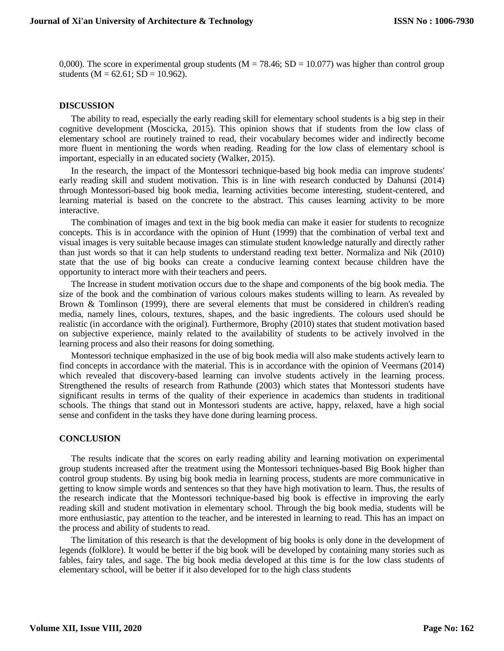0,000). The score in experimental group students ( $M = 78.46$ ; SD = 10.077) was higher than control group students ( $M = 62.61$ ;  $SD = 10.962$ ).

#### **DISCUSSION**

The ability to read, especially the early reading skill for elementary school students is a big step in their cognitive development (Moscicka, 2015). This opinion shows that if students from the low class of elementary school are routinely trained to read, their vocabulary becomes wider and indirectly become more fluent in mentioning the words when reading. Reading for the low class of elementary school is important, especially in an educated society (Walker, 2015).

In the research, the impact of the Montessori technique-based big book media can improve students' early reading skill and student motivation. This is in line with research conducted by Dahunsi (2014) through Montessori-based big book media, learning activities become interesting, student-centered, and learning material is based on the concrete to the abstract. This causes learning activity to be more interactive.

The combination of images and text in the big book media can make it easier for students to recognize concepts. This is in accordance with the opinion of Hunt (1999) that the combination of verbal text and visual images is very suitable because images can stimulate student knowledge naturally and directly rather than just words so that it can help students to understand reading text better. Normaliza and Nik (2010) state that the use of big books can create a conducive learning context because children have the opportunity to interact more with their teachers and peers.

The Increase in student motivation occurs due to the shape and components of the big book media. The size of the book and the combination of various colours makes students willing to learn. As revealed by Brown & Tomlinson (1999), there are several elements that must be considered in children's reading media, namely lines, colours, textures, shapes, and the basic ingredients. The colours used should be realistic (in accordance with the original). Furthermore, Brophy (2010) states that student motivation based on subjective experience, mainly related to the availability of students to be actively involved in the learning process and also their reasons for doing something.

Montessori technique emphasized in the use of big book media will also make students actively learn to find concepts in accordance with the material. This is in accordance with the opinion of Veermans (2014) which revealed that discovery-based learning can involve students actively in the learning process. Strengthened the results of research from Rathunde (2003) which states that Montessori students have significant results in terms of the quality of their experience in academics than students in traditional schools. The things that stand out in Montessori students are active, happy, relaxed, have a high social sense and confident in the tasks they have done during learning process.

#### **CONCLUSION**

The results indicate that the scores on early reading ability and learning motivation on experimental group students increased after the treatment using the Montessori techniques-based Big Book higher than control group students. By using big book media in learning process, students are more communicative in getting to know simple words and sentences so that they have high motivation to learn. Thus, the results of the research indicate that the Montessori technique-based big book is effective in improving the early reading skill and student motivation in elementary school. Through the big book media, students will be more enthusiastic, pay attention to the teacher, and be interested in learning to read. This has an impact on the process and ability of students to read.

The limitation of this research is that the development of big books is only done in the development of legends (folklore). It would be better if the big book will be developed by containing many stories such as fables, fairy tales, and sage. The big book media developed at this time is for the low class students of elementary school, will be better if it also developed for to the high class students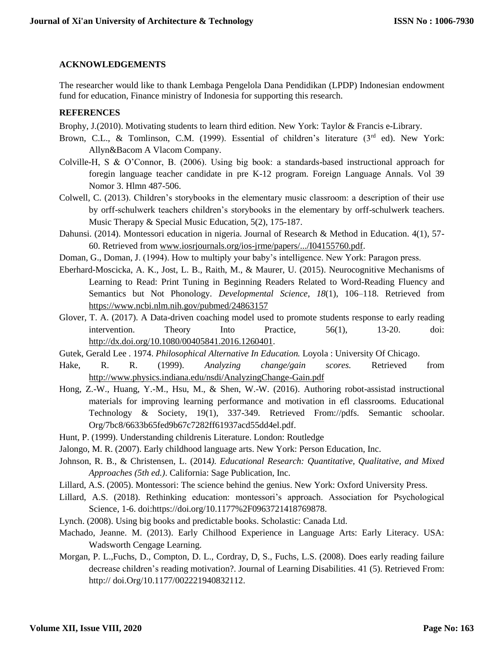# **ACKNOWLEDGEMENTS**

The researcher would like to thank Lembaga Pengelola Dana Pendidikan (LPDP) Indonesian endowment fund for education, Finance ministry of Indonesia for supporting this research.

# **REFERENCES**

Brophy, J.(2010). Motivating students to learn third edition. New York: Taylor & Francis e-Library.

- Brown, C.L., & Tomlinson, C.M. (1999). Essential of children's literature  $(3<sup>rd</sup>$  ed). New York: Allyn&Bacom A Vlacom Company.
- Colville-H, S & O'Connor, B. (2006). Using big book: a standards-based instructional approach for foregin language teacher candidate in pre K-12 program. Foreign Language Annals. Vol 39 Nomor 3. Hlmn 487-506.
- Colwell, C. (2013). Children's storybooks in the elementary music classroom: a description of their use by orff-schulwerk teachers children's storybooks in the elementary by orff-schulwerk teachers. Music Therapy & Special Music Education, 5(2), 175-187.
- Dahunsi. (2014). Montessori education in nigeria. Journal of Research & Method in Education. 4(1), 57- 60. Retrieved from [www.iosrjournals.org/ios-jrme/papers/.../I04155760.pdf.](http://www.iosrjournals.org/ios-jrme/papers/.../I04155760.pdf)
- Doman, G., Doman, J. (1994). How to multiply your baby's intelligence. New York: Paragon press.
- Eberhard-Moscicka, A. K., Jost, L. B., Raith, M., & Maurer, U. (2015). Neurocognitive Mechanisms of Learning to Read: Print Tuning in Beginning Readers Related to Word-Reading Fluency and Semantics but Not Phonology. *Developmental Science*, *18*(1), 106–118. Retrieved from <https://www.ncbi.nlm.nih.gov/pubmed/24863157>
- Glover, T. A. (2017). A Data-driven coaching model used to promote students response to early reading intervention. Theory Into Practice, 56(1), 13-20. doi: [http://dx.doi.org/10.1080/00405841.2016.1260401.](http://dx.doi.org/10.1080/00405841.2016.1260401)
- Gutek, Gerald Lee . 1974. *Philosophical Alternative In Education.* Loyola : University Of Chicago.
- Hake, R. R. (1999). *Analyzing change/gain scores.* Retrieved from <http://www.physics.indiana.edu/nsdi/AnalyzingChange-Gain.pdf>
- Hong, Z.-W., Huang, Y.-M., Hsu, M., & Shen, W.-W. (2016). Authoring robot-assistad instructional materials for improving learning performance and motivation in efl classrooms. Educational Technology & Society, 19(1), 337-349. Retrieved From://pdfs. Semantic schoolar. Org/7bc8/6633b65fed9b67c7282ff61937acd55dd4el.pdf.
- Hunt, P. (1999). Understanding childrenis Literature. London: Routledge
- Jalongo, M. R. (2007). Early childhood language arts. New York: Person Education, Inc.
- Johnson, R. B., & Christensen, L. (2014*). Educational Research: Quantitative, Qualitative, and Mixed Approaches (5th ed.)*. California: Sage Publication, Inc.
- Lillard, A.S. (2005). Montessori: The science behind the genius. New York: Oxford University Press.
- Lillard, A.S. (2018). Rethinking education: montessori's approach. Association for Psychological Science, 1-6. doi:https://doi.org/10.1177%2F0963721418769878.
- Lynch. (2008). Using big books and predictable books. Scholastic: Canada Ltd.
- Machado, Jeanne. M. (2013). Early Chilhood Experience in Language Arts: Early Literacy. USA: Wadsworth Cengage Learning.
- Morgan, P. L.,Fuchs, D., Compton, D. L., Cordray, D, S., Fuchs, L.S. (2008). Does early reading failure decrease children's reading motivation?. Journal of Learning Disabilities. 41 (5). Retrieved From: http:// doi.Org/10.1177/002221940832112.